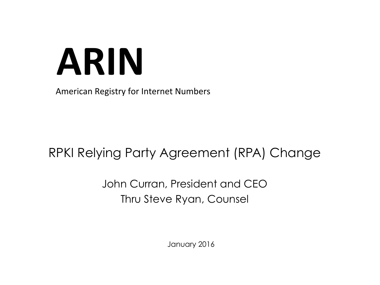# **ARIN**

American Registry for Internet Numbers

### RPKI Relying Party Agreement (RPA) Change

#### John Curran, President and CEO Thru Steve Ryan, Counsel

January 2016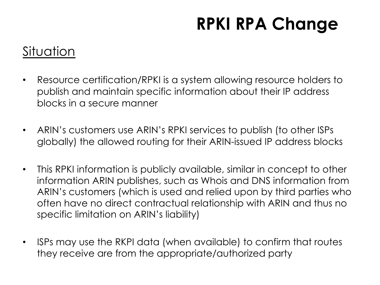#### Situation

- Resource certification/RPKI is a system allowing resource holders to publish and maintain specific information about their IP address blocks in a secure manner
- ARIN's customers use ARIN's RPKI services to publish (to other ISPs globally) the allowed routing for their ARIN-issued IP address blocks
- This RPKI information is publicly available, similar in concept to other information ARIN publishes, such as Whois and DNS information from ARIN's customers (which is used and relied upon by third parties who often have no direct contractual relationship with ARIN and thus no specific limitation on ARIN's liability)
- ISPs may use the RKPI data (when available) to confirm that routes they receive are from the appropriate/authorized party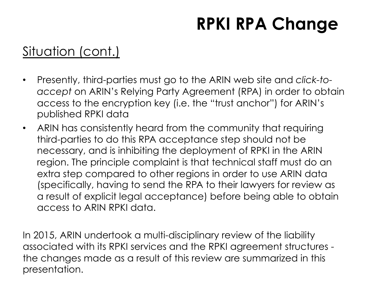### Situation (cont.)

- Presently, third-parties must go to the ARIN web site and *click-toaccept* on ARIN's Relying Party Agreement (RPA) in order to obtain access to the encryption key (i.e. the "trust anchor") for ARIN's published RPKI data
- ARIN has consistently heard from the community that requiring third-parties to do this RPA acceptance step should not be necessary, and is inhibiting the deployment of RPKI in the ARIN region. The principle complaint is that technical staff must do an extra step compared to other regions in order to use ARIN data (specifically, having to send the RPA to their lawyers for review as a result of explicit legal acceptance) before being able to obtain access to ARIN RPKI data.

In 2015, ARIN undertook a multi-disciplinary review of the liability associated with its RPKI services and the RPKI agreement structures the changes made as a result of this review are summarized in this presentation.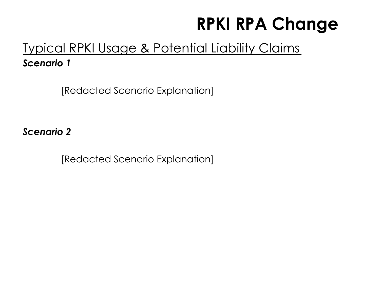#### Typical RPKI Usage & Potential Liability Claims *Scenario 1*

[Redacted Scenario Explanation]

*Scenario 2* 

[Redacted Scenario Explanation]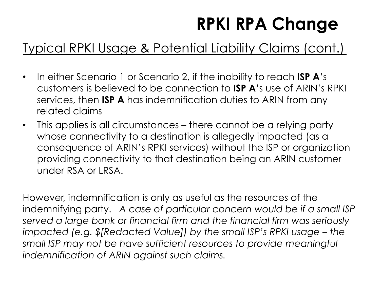### Typical RPKI Usage & Potential Liability Claims (cont.)

- In either Scenario 1 or Scenario 2, if the inability to reach **ISP A**'s customers is believed to be connection to **ISP A**'s use of ARIN's RPKI services, then **ISP A** has indemnification duties to ARIN from any related claims
- This applies is all circumstances there cannot be a relying party whose connectivity to a destination is allegedly impacted (as a consequence of ARIN's RPKI services) without the ISP or organization providing connectivity to that destination being an ARIN customer under RSA or LRSA.

However, indemnification is only as useful as the resources of the indemnifying party. *A case of particular concern would be if a small ISP served a large bank or financial firm and the financial firm was seriously impacted (e.g. \$[Redacted Value]) by the small ISP's RPKI usage – the small ISP may not be have sufficient resources to provide meaningful indemnification of ARIN against such claims.*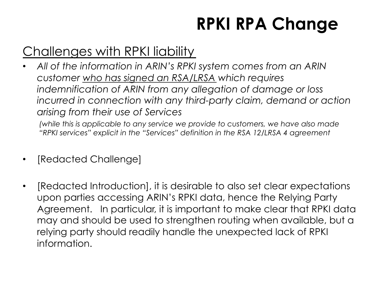### Challenges with RPKI liability

• *All of the information in ARIN's RPKI system comes from an ARIN customer who has signed an RSA/LRSA which requires indemnification of ARIN from any allegation of damage or loss*  incurred in connection with any third-party claim, demand or action *arising from their use of Services* 

*(while this is applicable to any service we provide to customers, we have also made "RPKI services" explicit in the "Services" definition in the RSA 12/LRSA 4 agreement* 

- [Redacted Challenge]
- [Redacted Introduction], it is desirable to also set clear expectations upon parties accessing ARIN's RPKI data, hence the Relying Party Agreement. In particular, it is important to make clear that RPKI data may and should be used to strengthen routing when available, but a relying party should readily handle the unexpected lack of RPKI information.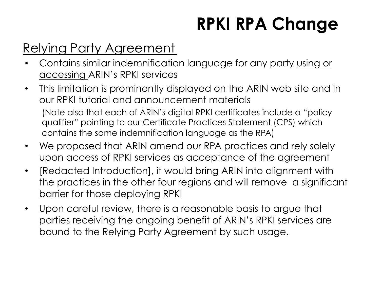### Relying Party Agreement

- Contains similar indemnification language for any party using or accessing ARIN's RPKI services
- This limitation is prominently displayed on the ARIN web site and in our RPKI tutorial and announcement materials (Note also that each of ARIN's digital RPKI certificates include a "policy qualifier" pointing to our Certificate Practices Statement (CPS) which contains the same indemnification language as the RPA)
- We proposed that ARIN amend our RPA practices and rely solely upon access of RPKI services as acceptance of the agreement
- [Redacted Introduction], it would bring ARIN into alignment with the practices in the other four regions and will remove a significant barrier for those deploying RPKI
- Upon careful review, there is a reasonable basis to argue that parties receiving the ongoing benefit of ARIN's RPKI services are bound to the Relying Party Agreement by such usage.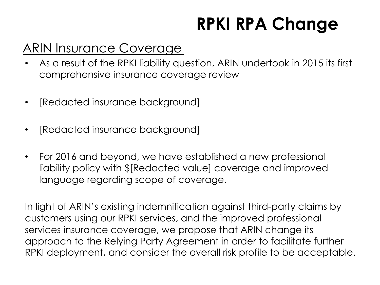#### ARIN Insurance Coverage

- As a result of the RPKI liability question, ARIN undertook in 2015 its first comprehensive insurance coverage review
- [Redacted insurance background]
- [Redacted insurance background]
- For 2016 and beyond, we have established a new professional liability policy with \$[Redacted value] coverage and improved language regarding scope of coverage.

In light of ARIN's existing indemnification against third-party claims by customers using our RPKI services, and the improved professional services insurance coverage, we propose that ARIN change its approach to the Relying Party Agreement in order to facilitate further RPKI deployment, and consider the overall risk profile to be acceptable.